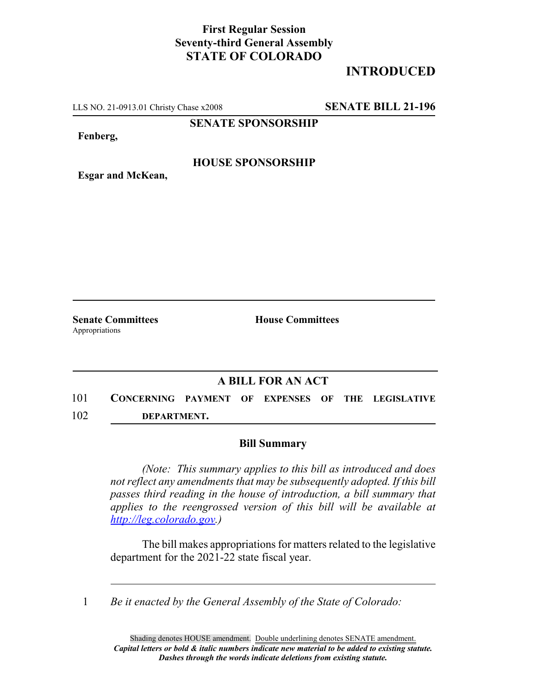## **First Regular Session Seventy-third General Assembly STATE OF COLORADO**

# **INTRODUCED**

LLS NO. 21-0913.01 Christy Chase x2008 **SENATE BILL 21-196**

**SENATE SPONSORSHIP**

**Fenberg,**

#### **HOUSE SPONSORSHIP**

**Esgar and McKean,**

Appropriations

**Senate Committees House Committees** 

### **A BILL FOR AN ACT**

101 **CONCERNING PAYMENT OF EXPENSES OF THE LEGISLATIVE** 102 **DEPARTMENT.**

#### **Bill Summary**

*(Note: This summary applies to this bill as introduced and does not reflect any amendments that may be subsequently adopted. If this bill passes third reading in the house of introduction, a bill summary that applies to the reengrossed version of this bill will be available at http://leg.colorado.gov.)*

The bill makes appropriations for matters related to the legislative department for the 2021-22 state fiscal year.

1 *Be it enacted by the General Assembly of the State of Colorado:*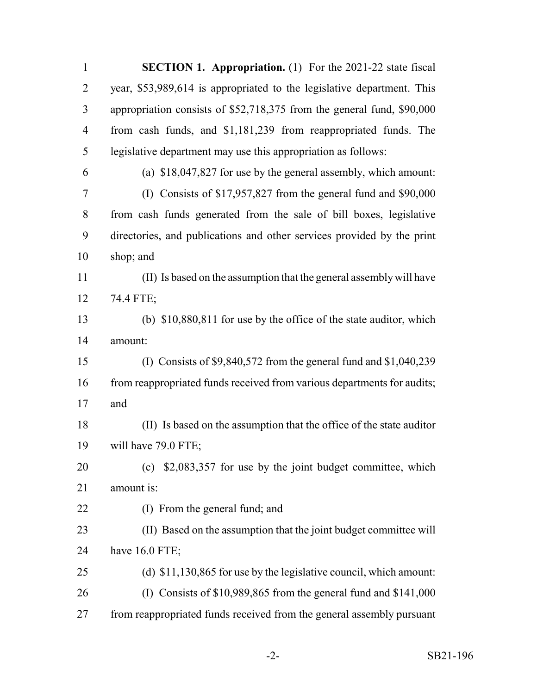| $\mathbf{1}$   | <b>SECTION 1. Appropriation.</b> (1) For the 2021-22 state fiscal       |
|----------------|-------------------------------------------------------------------------|
| $\overline{2}$ | year, \$53,989,614 is appropriated to the legislative department. This  |
| 3              | appropriation consists of \$52,718,375 from the general fund, \$90,000  |
| $\overline{4}$ | from cash funds, and \$1,181,239 from reappropriated funds. The         |
| 5              | legislative department may use this appropriation as follows:           |
| 6              | (a) \$18,047,827 for use by the general assembly, which amount:         |
| 7              | (I) Consists of \$17,957,827 from the general fund and \$90,000         |
| 8              | from cash funds generated from the sale of bill boxes, legislative      |
| 9              | directories, and publications and other services provided by the print  |
| 10             | shop; and                                                               |
| 11             | (II) Is based on the assumption that the general assembly will have     |
| 12             | 74.4 FTE;                                                               |
| 13             | (b) \$10,880,811 for use by the office of the state auditor, which      |
| 14             | amount:                                                                 |
| 15             | (I) Consists of $$9,840,572$ from the general fund and $$1,040,239$     |
| 16             | from reappropriated funds received from various departments for audits; |
| 17             | and                                                                     |
| 18             | (II) Is based on the assumption that the office of the state auditor    |
| 19             | will have 79.0 FTE;                                                     |
| 20             | $\epsilon$ (c) \$2,083,357 for use by the joint budget committee, which |
| 21             | amount is:                                                              |
| 22             | (I) From the general fund; and                                          |
| 23             | (II) Based on the assumption that the joint budget committee will       |
| 24             | have 16.0 FTE;                                                          |
| 25             | (d) \$11,130,865 for use by the legislative council, which amount:      |
| 26             | (I) Consists of $$10,989,865$ from the general fund and $$141,000$      |
| 27             | from reappropriated funds received from the general assembly pursuant   |